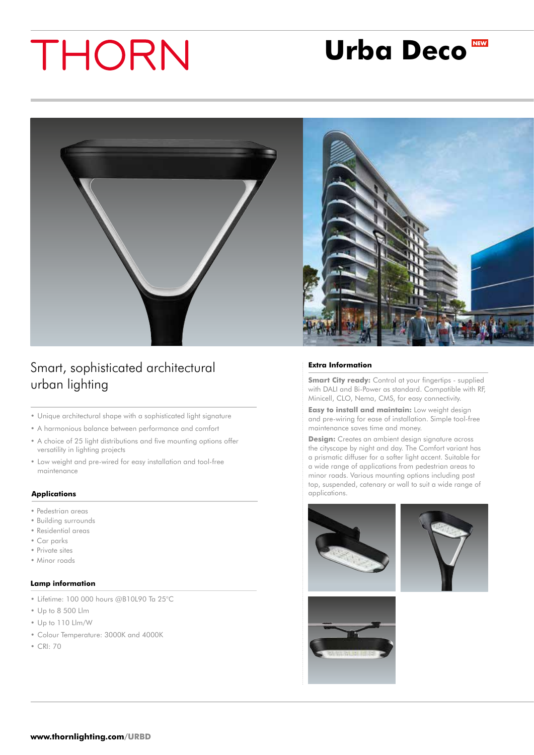## **Urba Deco**



Smart, sophisticated architectural urban lighting

- • Unique architectural shape with a sophisticated light signature
- • A harmonious balance between performance and comfort
- A choice of 25 light distributions and five mounting options offer versatility in lighting projects
- • Low weight and pre-wired for easy installation and tool-free maintenance

#### **Applications**

- Pedestrian areas
- Building surrounds
- Residential areas
- Car parks
- Private sites
- Minor roads

#### **Lamp information**

- • Lifetime: 100 000 hours @B10L90 Ta 25°C
- • Up to 8 500 Llm
- • Up to 110 Llm/W
- • Colour Temperature: 3000K and 4000K
- • CRI: 70



#### **Extra Information**

**Smart City ready:** Control at your fingertips - supplied with DALI and Bi-Power as standard. Compatible with RF, Minicell, CLO, Nema, CMS, for easy connectivity.

**Easy to install and maintain:** Low weight design and pre-wiring for ease of installation. Simple tool-free maintenance saves time and money.

**Design:** Creates an ambient design signature across the cityscape by night and day. The Comfort variant has a prismatic diffuser for a softer light accent. Suitable for a wide range of applications from pedestrian areas to minor roads. Various mounting options including post top, suspended, catenary or wall to suit a wide range of applications.





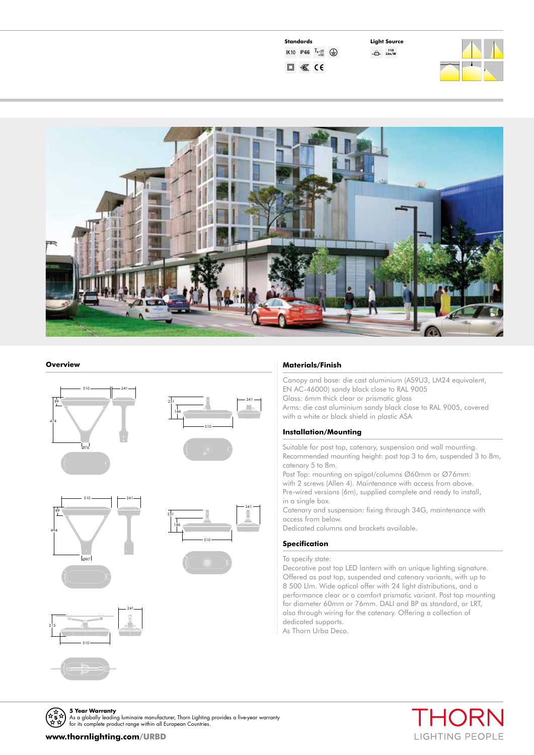| Standards |                                            |             |
|-----------|--------------------------------------------|-------------|
|           | <b>IK10 IP66</b> $T_{a-25}$ <sub>+50</sub> | $(\exists)$ |
|           | C E                                        |             |

**Light Source 110 Llm/W**





#### **Overview**













#### **Materials/Finish**

Canopy and base: die cast aluminium (AS9U3, LM24 equivalent, EN AC-46000) sandy black close to RAL 9005 Glass: 6mm thick clear or prismatic glass Arms: die cast aluminium sandy black close to RAL 9005, covered with a white or black shield in plastic ASA

#### **Installation/Mounting**

Suitable for post top, catenary, suspension and wall mounting. Recommended mounting height: post top 3 to 6m, suspended 3 to 8m, catenary 5 to 8m.

Post Top: mounting on spigot/columns Ø60mm or Ø76mm:

with 2 screws (Allen 4). Maintenance with access from above. Pre-wired versions (6m), supplied complete and ready to install, in a single box.

Catenary and suspension: fixing through 34G, maintenance with access from below.

Dedicated columns and brackets available.

#### **Specification**

To specify state:

Decorative post top LED lantern with an unique lighting signature. Offered as post top, suspended and catenary variants, with up to 8 500 Llm. Wide optical offer with 24 light distributions, and a performance clear or a comfort prismatic variant. Post top mounting for diameter 60mm or 76mm. DALI and BP as standard, or LRT, also through wiring for the catenary. Offering a collection of dedicated supports.

As Thorn Urba Deco.



for its complete product range within all European Countries **www.thornlighting.com/URBD**

**5 Year Warranty**<br>As a globally leading luminaire manufacturer, Thorn Lighting provides a five-year warranty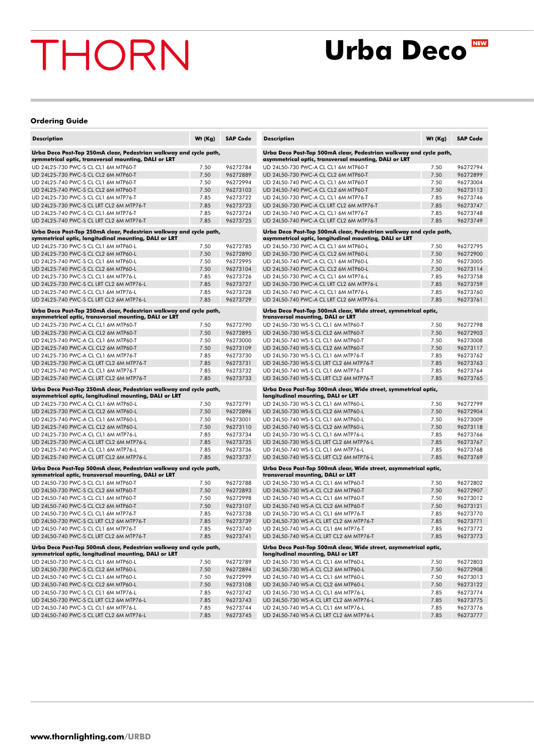### **Urba Deco**

#### **Ordering Guide**

| <b>Description</b>                                                                                                           | Wt (Kg) | <b>SAP Code</b> |
|------------------------------------------------------------------------------------------------------------------------------|---------|-----------------|
| Urba Deco Post-Top 250mA clear, Pedestrian walkway and cycle path,<br>symmetrical optic, transversal mounting, DALI or LRT   |         |                 |
| UD 24L25-730 PWC-S CL CL1 6M MTP60-T                                                                                         | 7.50    | 96272784        |
| UD 24L25-730 PWC-S CL CL2 6M MTP60-T                                                                                         | 7.50    | 96272889        |
| UD 24L25-740 PWC-S CL CL1 6M MTP60-T                                                                                         | 7.50    | 96272994        |
| UD 24L25-740 PWC-S CL CL2 6M MTP60-T                                                                                         | 7.50    | 96273103        |
| UD 24L25-730 PWC-S CL CL1 6M MTP76-T                                                                                         | 7.85    | 96273722        |
| UD 24L25-730 PWC-S CL LRT CL2 6M MTP76-T                                                                                     | 7.85    | 96273723        |
| UD 24L25-740 PWC-S CL CL1 6M MTP76-T                                                                                         | 7.85    | 96273724        |
| UD 24L25-740 PWC-S CL LRT CL2 6M MTP76-T                                                                                     | 7.85    | 96273725        |
| Urba Deco Post-Top 250mA clear, Pedestrian walkway and cycle path,<br>symmetrical optic, longitudinal mounting, DALI or LRT  |         |                 |
| UD 24L25-730 PWC-S CL CL1 6M MTP60-L                                                                                         | 7.50    | 96272785        |
| UD 24L25-730 PWC-S CL CL2 6M MTP60-L                                                                                         | 7.50    | 96272890        |
| UD 24L25-740 PWC-S CL CL1 6M MTP60-L                                                                                         | 7.50    | 96272995        |
| UD 24L25-740 PWC-S CL CL2 6M MTP60-L                                                                                         | 7.50    | 96273104        |
| UD 24L25-730 PWC-S CL CL1 6M MTP76-L                                                                                         | 7.85    | 96273726        |
| UD 24L25-730 PWC-S CL LRT CL2 6M MTP76-L                                                                                     | 7.85    | 96273727        |
| UD 24L25-740 PWC-S CL CL1 6M MTP76-L                                                                                         | 7.85    | 96273728        |
| UD 24L25-740 PWC-S CL LRT CL2 6M MTP76-L                                                                                     | 7.85    | 96273729        |
| Urba Deco Post-Top 250mA clear, Pedestrian walkway and cycle path,<br>asymmetrical optic, transversal mounting, DALI or LRT  |         |                 |
| UD 24L25-730 PWC-A CL CL1 6M MTP60-T                                                                                         | 7.50    | 96272790        |
| UD 24L25-730 PWC-A CL CL2 6M MTP60-T                                                                                         | 7.50    | 96272895        |
| UD 24L25-740 PWC-A CL CL1 6M MTP60-T                                                                                         | 7.50    | 96273000        |
| UD 24L25-740 PWC-A CL CL2 6M MTP60-T                                                                                         | 7.50    | 96273109        |
| UD 24L25-730 PWC-A CL CL1 6M MTP76-T                                                                                         | 7.85    | 96273730        |
| UD 24L25-730 PWC-A CL LRT CL2 6M MTP76-T                                                                                     | 7.85    | 96273731        |
| UD 24L25-740 PWC-A CL CL1 6M MTP76-T                                                                                         | 7.85    | 96273732        |
| UD 24L25-740 PWC-A CL LRT CL2 6M MTP76-T                                                                                     | 7.85    | 96273733        |
| Urba Deco Post-Top 250mA clear, Pedestrian walkway and cycle path,<br>asymmetrical optic, longitudinal mounting, DALI or LRT |         |                 |
| UD 24L25-730 PWC-A CL CL1 6M MTP60-L                                                                                         | 7.50    | 96272791        |
| UD 24L25-730 PWC-A CL CL2 6M MTP60-L                                                                                         | 7.50    | 96272896        |
| UD 24L25-740 PWC-A CL CL1 6M MTP60-L                                                                                         | 7.50    | 96273001        |
| UD 24L25-740 PWC-A CL CL2 6M MTP60-L                                                                                         | 7.50    | 96273110        |
| UD 24L25-730 PWC-A CL CL1 6M MTP76-L                                                                                         | 7.85    | 96273734        |
| UD 24L25-730 PWC-A CL LRT CL2 6M MTP76-L                                                                                     | 7.85    | 96273735        |
| UD 24L25-740 PWC-A CL CL1 6M MTP76-L                                                                                         | 7.85    | 96273736        |
| UD 24L25-740 PWC-A CL LRT CL2 6M MTP76-L                                                                                     | 7.85    | 96273737        |
| Urba Deco Post-Top 500mA clear, Pedestrian walkway and cycle path,<br>symmetrical optic, transversal mounting, DALI or LRT   |         |                 |
| UD 24L50-730 PWC-S CL CL1 6M MTP60-T                                                                                         | 7.50    | 96272788        |
| UD 24L50-730 PWC-S CL CL2 6M MTP60-T                                                                                         | 7.50    | 96272893        |
| UD 24L50-740 PWC-S CL CL1 6M MTP60-T                                                                                         | 7.50    | 96272998        |
| UD 24L50-740 PWC-S CL CL2 6M MTP60-T                                                                                         | 7.50    | 96273107        |
| UD 24L50-730 PWC-S CL CL1 6M MTP76-T                                                                                         | 7.85    | 96273738        |
| UD 24L50-730 PWC-S CL LRT CL2 6M MTP76-T                                                                                     | 7.85    | 96273739        |
| UD 24L50-740 PWC-S CL CL1 6M MTP76-T                                                                                         | 7.85    | 96273740        |
| UD 24L50-740 PWC-S CL LRT CL2 6M MTP76-T                                                                                     | 7.85    | 96273741        |
| Urba Deco Post-Top 500mA clear, Pedestrian walkway and cycle path,<br>symmetrical optic, longitudinal mounting, DALI or LRT  |         |                 |
| UD 24L50-730 PWC-S CL CL1 6M MTP60-L                                                                                         | 7.50    | 96272789        |
| UD 24L50-730 PWC-S CL CL2 6M MTP60-L                                                                                         | 7.50    | 96272894        |
| UD 24L50-740 PWC-S CL CL1 6M MTP60-L                                                                                         | 7.50    | 96272999        |
| UD 24L50-740 PWC-S CL CL2 6M MTP60-L                                                                                         | 7.50    | 96273108        |
| UD 24L50-730 PWC-S CL CL1 6M MTP76-L                                                                                         | 7.85    | 96273742        |
| UD 24L50-730 PWC-S CL LRT CL2 6M MTP76-L                                                                                     | 7.85    | 96273743        |
| UD 24L50-740 PWC-S CL CL1 6M MTP76-L                                                                                         | 7.85    | 96273744        |
| UD 24L50-740 PWC-S CL LRT CL2 6M MTP76-L                                                                                     | 7.85    | 96273745        |

| <b>Description</b>                                                                                                          | Wt (Kg)      | <b>SAP Code</b>      |
|-----------------------------------------------------------------------------------------------------------------------------|--------------|----------------------|
| Urba Deco Post-Top 500mA clear, Pedestrian walkway and cycle path,<br>asymmetrical optic, transversal mounting, DALI or LRT |              |                      |
| UD 24L50-730 PWC-A CL CL1 6M MTP60-T                                                                                        | 7.50         | 96272794             |
| UD 24L50-730 PWC-A CL CL2 6M MTP60-T                                                                                        | 7.50         | 96272899             |
| UD 24L50-740 PWC-A CL CL1 6M MTP60-T                                                                                        | 7.50         | 96273004             |
| UD 24L50-740 PWC-A CL CL2 6M MTP60-T                                                                                        | 7.50         | 96273113             |
| UD 24L50-730 PWC-A CL CL1 6M MTP76-T                                                                                        |              | 96273746             |
| UD 24L50-730 PWC-A CL LRT CL2 6M MTP76-T                                                                                    | 7.85<br>7.85 | 96273747             |
| UD 24L50-740 PWC-A CL CL1 6M MTP76-T                                                                                        |              |                      |
| UD 24L50-740 PWC-A CL LRT CL2 6M MTP76-T                                                                                    | 7.85<br>7.85 | 96273748<br>96273749 |
| Urba Deco Post-Top 500mA clear, Pedestrian walkway and cycle path,                                                          |              |                      |
| asymmetrical optic, longitudinal mounting, DALI or LRT                                                                      |              |                      |
| UD 24L50-730 PWC-A CL CL1 6M MTP60-L                                                                                        | 7.50         | 96272795             |
| UD 24L50-730 PWC-A CL CL2 6M MTP60-L                                                                                        | 7.50         | 96272900             |
| UD 24L50-740 PWC-A CL CL1 6M MTP60-L                                                                                        | 7.50         | 96273005             |
| UD 24L50-740 PWC-A CL CL2 6M MTP60-L                                                                                        | 7.50         | 96273114             |
| UD 24L50-730 PWC-A CL CL1 6M MTP76-L                                                                                        | 7.85         | 96273758             |
| UD 24L50-730 PWC-A CL LRT CL2 6M MTP76-L                                                                                    | 7.85         | 96273759             |
| UD 24L50-740 PWC-A CL CL1 6M MTP76-L                                                                                        | 7.85         | 96273760             |
| UD 24L50-740 PWC-A CL LRT CL2 6M MTP76-L                                                                                    | 7.85         | 96273761             |
| Urba Deco Post-Top 500mA clear, Wide street, symmetrical optic,                                                             |              |                      |
| transversal mounting, DALI or LRT                                                                                           |              |                      |
| UD 24L50-730 WS-S CL CL1 6M MTP60-T                                                                                         | 7.50         | 96272798             |
| UD 24L50-730 WS-S CL CL2 6M MTP60-T                                                                                         | 7.50         | 96272903             |
| UD 24L50-740 WS-S CL CL1 6M MTP60-T                                                                                         | 7.50         | 96273008             |
| UD 241.50-740 WS-S CL CL2 6M MTP60-T                                                                                        | 7.50         | 96273117             |
| UD 24L50-730 WS-S CL CL1 6M MTP76-T                                                                                         | 7.85         | 96273762             |
| UD 24L50-730 WS-S CL LRT CL2 6M MTP76-T                                                                                     | 7.85         | 96273763             |
| UD 24L50-740 WS-S CL CL1 6M MTP76-T                                                                                         | 7.85         | 96273764             |
| UD 24L50-740 WS-S CL LRT CL2 6M MTP76-T                                                                                     | 7.85         | 96273765             |
| Urba Deco Post-Top 500mA clear, Wide street, symmetrical optic,                                                             |              |                      |
| longitudinal mounting, DALI or LRT                                                                                          |              |                      |
| UD 24L50-730 WS-S CL CL1 6M MTP60-L                                                                                         | 7.50         | 96272799             |
| UD 24L50-730 WS-S CL CL2 6M MTP60-L                                                                                         | 7.50         | 96272904             |
| UD 24L50-740 WS-S CL CL1 6M MTP60-L                                                                                         | 7.50         | 96273009             |
| UD 24L50-740 WS-S CL CL2 6M MTP60-L                                                                                         | 7.50         | 96273118             |
| UD 24L50-730 WS-S CL CL1 6M MTP76-L                                                                                         | 7.85         | 96273766             |
| UD 24L50-730 WS-S CL LRT CL2 6M MTP76-L                                                                                     | 7.85         | 96273767             |
| UD 24L50-740 WS-S CL CL1 6M MTP76-L                                                                                         | 7.85         | 96273768             |
| UD 24L50-740 WS-S CL LRT CL2 6M MTP76-L                                                                                     | 7.85         | 96273769             |
| Urba Deco Post-Top 500mA clear, Wide street, asymmetrical optic,                                                            |              |                      |
| transversal mounting, DALI or LRT                                                                                           |              |                      |
| UD 24L50-730 WS-A CL CL1 6M MTP60-T                                                                                         | 7.50         | 96272802             |
| UD 24L50-730 WS-A CL CL2 6M MTP60-T                                                                                         | 7.50         | 96272907             |
| UD 24L50-740 WS-A CL CL1 6M MTP60-T                                                                                         | 7.50         | 96273012             |
| UD 24L50-740 WS-A CL CL2 6M MTP60-T                                                                                         | 7.50         | 96273121             |
| UD 24L50-730 WS-A CL CL1 6M MTP76-T                                                                                         | 7.85         | 96273770             |
| UD 24L50-730 WS-A CL LRT CL2 6M MTP76-T                                                                                     | 7.85         | 96273771             |
| UD 24L50-740 WS-A CL CL1 6M MTP76-T                                                                                         | 7.85         | 96273772             |
| UD 24L50-740 WS-A CL LRT CL2 6M MTP76-T                                                                                     | 7.85         | 96273773             |
| Urba Deco Post-Top 500mA clear, Wide street, asymmetrical optic,                                                            |              |                      |
| longitudinal mounting, DALI or LRT                                                                                          |              |                      |
| UD 24L50-730 WS-A CL CL1 6M MTP60-L                                                                                         | 7.50         | 96272803             |
| UD 24L50-730 WS-A CL CL2 6M MTP60-L                                                                                         | 7.50         | 96272908             |
| UD 24L50-740 WS-A CL CL1 6M MTP60-L                                                                                         | 7.50         | 96273013             |
| UD 24L50-740 WS-A CL CL2 6M MTP60-L                                                                                         | 7.50         | 96273122             |
| UD 24L50-730 WS-A CL CL1 6M MTP76-L                                                                                         | 7.85         | 96273774             |
| UD 24L50-730 WS-A CL LRT CL2 6M MTP76-L                                                                                     | 7.85         | 96273775             |
| UD 24L50-740 WS-A CL CL1 6M MTP76-L                                                                                         | 7.85         | 96273776             |
| UD 24L50-740 WS-A CL LRT CL2 6M MTP76-L                                                                                     | 7.85         | 96273777             |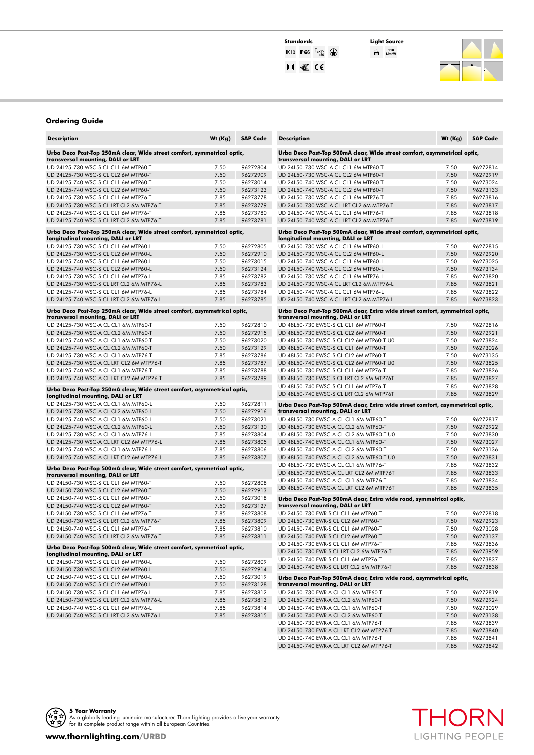### **Standards Light Source**<br>
IK10 IP66  $\frac{\text{T}_3 \cdot 25}{+50}$   $\bigoplus$   $\bigoplus$   $\bigoplus$   $\bigoplus$   $\bigoplus$  $\square$   $\mathcal{K}$  (6

**110 Llm/W**



#### **Ordering Guide**

| <b>Description</b>                                                                                             | Wt (Kg) | <b>SAP Code</b> |
|----------------------------------------------------------------------------------------------------------------|---------|-----------------|
| Urba Deco Post-Top 250mA clear, Wide street comfort, symmetrical optic,<br>transversal mounting, DALI or LRT   |         |                 |
| UD 24L25-730 WSC-S CL CL1 6M MTP60-T                                                                           | 7.50    | 96272804        |
| UD 24L25-730 WSC-S CL CL2 6M MTP60-T                                                                           | 7.50    | 96272909        |
| UD 24L25-740 WSC-S CL CL1 6M MTP60-T                                                                           | 7.50    | 96273014        |
| UD 24L25-740 WSC-S CL CL2 6M MTP60-T                                                                           | 7.50    | 96273123        |
| UD 24L25-730 WSC-S CL CL1 6M MTP76-T                                                                           | 7.85    | 96273778        |
| UD 24L25-730 WSC-S CL LRT CL2 6M MTP76-T                                                                       | 7.85    | 96273779        |
| UD 24L25-740 WSC-S CL CL1 6M MTP76-T                                                                           | 7.85    | 96273780        |
| UD 24L25-740 WSC-S CL LRT CL2 6M MTP76-T                                                                       | 7.85    | 96273781        |
| Urba Deco Post-Top 250mA clear, Wide street comfort, symmetrical optic,<br>longitudinal mounting, DALI or LRT  |         |                 |
| UD 24L25-730 WSC-S CL CL1 6M MTP60-L                                                                           | 7.50    | 96272805        |
| UD 24L25-730 WSC-S CL CL2 6M MTP60-L                                                                           | 7.50    | 96272910        |
| UD 24L25-740 WSC-S CL CL1 6M MTP60-L                                                                           | 7.50    | 96273015        |
| UD 24L25-740 WSC-S CL CL2 6M MTP60-L                                                                           | 7.50    | 96273124        |
| UD 24L25-730 WSC-S CL CL1 6M MTP76-L                                                                           | 7.85    | 96273782        |
| UD 24L25-730 WSC-S CL LRT CL2 6M MTP76-L                                                                       | 7.85    | 96273783        |
| UD 24L25-740 WSC-S CL CL1 6M MTP76-L                                                                           | 7.85    | 96273784        |
| UD 24L25-740 WSC-S CL LRT CL2 6M MTP76-L                                                                       | 7.85    | 96273785        |
| Urba Deco Post-Top 250mA clear, Wide street comfort, asymmetrical optic,                                       |         |                 |
| transversal mounting, DALI or LRT                                                                              |         |                 |
| UD 24L25-730 WSC-A CL CL1 6M MTP60-T                                                                           | 7.50    | 96272810        |
| UD 24L25-730 WSC-A CL CL2 6M MTP60-T                                                                           | 7.50    | 96272915        |
| UD 24L25-740 WSC-A CL CL1 6M MTP60-T                                                                           | 7.50    | 96273020        |
| UD 24L25-740 WSC-A CL CL2 6M MTP60-T                                                                           | 7.50    | 96273129        |
| UD 24L25-730 WSC-A CL CL1 6M MTP76-T                                                                           | 7.85    | 96273786        |
| UD 24L25-730 WSC-A CL LRT CL2 6M MTP76-T                                                                       | 7.85    | 96273787        |
| UD 24L25-740 WSC-A CL CL1 6M MTP76-T                                                                           | 7.85    | 96273788        |
| UD 24L25-740 WSC-A CL LRT CL2 6M MTP76-T                                                                       | 7.85    | 96273789        |
| Urba Deco Post-Top 250mA clear, Wide street comfort, asymmetrical optic,<br>longitudinal mounting, DALI or LRT |         |                 |
| UD 24L25-730 WSC-A CL CL1 6M MTP60-L                                                                           | 7.50    | 96272811        |
| UD 24L25-730 WSC-A CL CL2 6M MTP60-L                                                                           | 7.50    | 96272916        |
| UD 24L25-740 WSC-A CL CL1 6M MTP60-L                                                                           | 7.50    | 96273021        |
| UD 24L25-740 WSC-A CL CL2 6M MTP60-L                                                                           | 7.50    | 96273130        |
| UD 24L25-730 WSC-A CL CL1 6M MTP76-L                                                                           | 7.85    | 96273804        |
| UD 24L25-730 WSC-A CL LRT CL2 6M MTP76-L                                                                       | 7.85    | 96273805        |
| UD 24L25-740 WSC-A CL CL1 6M MTP76-L                                                                           | 7.85    | 96273806        |
| UD 24L25-740 WSC-A CL LRT CL2 6M MTP76-L                                                                       | 7.85    | 96273807        |
| Urba Deco Post-Top 500mA clear, Wide street comfort, symmetrical optic,<br>transversal mounting, DALI or LRT   |         |                 |
| UD 24L50-730 WSC-S CL CL1 6M MTP60-T                                                                           | 7.50    | 96272808        |
| UD 24L50-730 WSC-S CL CL2 6M MTP60-T                                                                           | 7.50    | 96272913        |
| UD 24L50-740 WSC-S CL CL1 6M MTP60-T                                                                           | 7.50    | 96273018        |
| UD 24L50-740 WSC-S CL CL2 6M MTP60-T                                                                           | 7.50    | 96273127        |
| UD 24L50-730 WSC-S CL CL1 6M MTP76-T                                                                           | 7.85    | 96273808        |
| UD 24L50-730 WSC-S CL LRT CL2 6M MTP76-T                                                                       | 7.85    | 96273809        |
| UD 24L50-740 WSC-S CL CL1 6M MTP76-T                                                                           | 7.85    | 96273810        |
| UD 24L50-740 WSC-S CL LRT CL2 6M MTP76-T                                                                       | 7.85    | 96273811        |
| Urba Deco Post-Top 500mA clear, Wide street comfort, symmetrical optic,                                        |         |                 |
| longitudinal mounting, DALI or LRT                                                                             |         |                 |
| UD 24L50-730 WSC-S CL CL1 6M MTP60-L                                                                           | 7.50    | 96272809        |
| UD 24L50-730 WSC-S CL CL2 6M MTP60-L                                                                           | 7.50    | 96272914        |
| UD 24L50-740 WSC-S CL CL1 6M MTP60-L                                                                           | 7.50    | 96273019        |
| UD 24L50-740 WSC-S CL CL2 6M MTP60-L                                                                           | 7.50    | 96273128        |
| UD 24L50-730 WSC-S CL CL1 6M MTP76-L                                                                           | 7.85    | 96273812        |
| UD 24L50-730 WSC-S CL LRT CL2 6M MTP76-L                                                                       | 7.85    | 96273813        |
| UD 24L50-740 WSC-S CL CL1 6M MTP76-L                                                                           | 7.85    | 96273814        |
| UD 24L50-740 WSC-S CL LRT CL2 6M MTP76-L                                                                       | 7.85    | 96273815        |
|                                                                                                                |         |                 |

| <b>Description</b>                                                                                                   | Wt (Kg)      | <b>SAP Code</b>      |
|----------------------------------------------------------------------------------------------------------------------|--------------|----------------------|
| Urba Deco Post-Top 500mA clear, Wide street comfort, asymmetrical optic,<br>transversal mounting, DALI or LRT        |              |                      |
| UD 24L50-730 WSC-A CL CL1 6M MTP60-T                                                                                 | 7.50         | 96272814             |
| UD 24L50-730 WSC-A CL CL2 6M MTP60-T                                                                                 | 7.50         | 96272919             |
| UD 24L50-740 WSC-A CL CL1 6M MTP60-T                                                                                 | 7.50         | 96273024             |
| UD 24L50-740 WSC-A CL CL2 6M MTP60-T                                                                                 | 7.50         | 96273133             |
| UD 24L50-730 WSC-A CL CL1 6M MTP76-T                                                                                 | 7.85         | 96273816             |
| UD 24L50-730 WSC-A CL LRT CL2 6M MTP76-T                                                                             | 7.85         | 96273817             |
| UD 24L50-740 WSC-A CL CL1 6M MTP76-T                                                                                 | 7.85         | 96273818             |
| UD 24L50-740 WSC-A CL LRT CL2 6M MTP76-T<br>Urba Deco Post-Top 500mA clear, Wide street comfort, asymmetrical optic, | 7.85         | 96273819             |
| longitudinal mounting, DALI or LRT                                                                                   |              |                      |
| UD 24L50-730 WSC-A CL CL1 6M MTP60-L                                                                                 | 7.50         | 96272815             |
| UD 24L50-730 WSC-A CL CL2 6M MTP60-L                                                                                 | 7.50         | 96272920             |
| UD 24L50-740 WSC-A CL CL1 6M MTP60-L                                                                                 | 7.50         | 96273025             |
| UD 24L50-740 WSC-A CL CL2 6M MTP60-L                                                                                 | 7.50         | 96273134             |
| UD 24L50-730 WSC-A CL CL1 6M MTP76-L                                                                                 | 7.85         | 96273820             |
| UD 24L50-730 WSC-A CL LRT CL2 6M MTP76-L                                                                             | 7.85         | 96273821             |
| UD 24L50-740 WSC-A CL CL1 6M MTP76-L                                                                                 | 7.85         | 96273822             |
| UD 24L50-740 WSC-A CL LRT CL2 6M MTP76-L                                                                             | 7.85         | 96273823             |
| Urba Deco Post-Top 500mA clear, Extra wide street comfort, symmetrical optic,<br>transversal mounting, DALI or LRT   |              |                      |
| UD 48L50-730 EWSC-S CL CL1 6M MTP60-T                                                                                | 7.50         | 96272816             |
| UD 48L50-730 EWSC-S CL CL2 6M MTP60-T                                                                                | 7.50         | 96272921             |
| UD 48L50-730 EWSC-S CL CL2 6M MTP60-T U0                                                                             | 7.50         | 96273824             |
| UD 48L50-740 EWSC-S CL CL1 6M MTP60-T                                                                                | 7.50         | 96273026             |
| UD 48L50-740 EWSC-S CL CL2 6M MTP60-T                                                                                | 7.50         | 96273135             |
| UD 48L50-740 EWSC-S CL CL2 6M MTP60-T U0                                                                             | 7.50         | 96273825             |
| UD 48L50-730 EWSC-S CL CL1 6M MTP76-T                                                                                | 7.85         | 96273826             |
| UD 48L50-730 EWSC-S CL LRT CL2 6M MTP76T<br>UD 48L50-740 EWSC-S CL CL1 6M MTP76-T                                    | 7.85<br>7.85 | 96273827<br>96273828 |
| UD 48L50-740 EWSC-S CL LRT CL2 6M MTP76T                                                                             | 7.85         | 96273829             |
|                                                                                                                      |              |                      |
| Urba Deco Post-Top 500mA clear, Extra wide street comfort, asymmetrical optic,<br>transversal mounting, DALI or LRT  |              |                      |
| UD 48L50-730 EWSC-A CL CL1 6M MTP60-T                                                                                | 7.50         | 96272817             |
| UD 48L50-730 EWSC-A CL CL2 6M MTP60-T                                                                                | 7.50         | 96272922             |
| UD 48L50-730 EWSC-A CL CL2 6M MTP60-T U0                                                                             | 7.50         | 96273830             |
| UD 48L50-740 EWSC-A CL CL1 6M MTP60-T                                                                                | 7.50         | 96273027             |
| UD 48L50-740 EWSC-A CL CL2 6M MTP60-T                                                                                | 7.50         | 96273136             |
| UD 48L50-740 EWSC-A CL CL2 6M MTP60-T U0                                                                             | 7.50         | 96273831             |
| UD 48L50-730 EWSC-A CL CL1 6M MTP76-T<br>UD 48L50-730 EWSC-A CL LRT CL2 6M MTP76T                                    | 7.85         | 96273832             |
| UD 48L50-740 EWSC-A CL CL1 6M MTP76-T                                                                                | 7.85<br>7.85 | 96273833<br>96273834 |
| UD 48L50-740 EWSC-A CL LRT CL2 6M MTP76T                                                                             | 7.85         | 96273835             |
| Urba Deco Post-Top 500mA clear, Extra wide road, symmetrical optic,                                                  |              |                      |
| transversal mounting, DALI or LRT                                                                                    |              |                      |
| UD 24L50-730 EWR-S CL CL1 6M MTP60-T                                                                                 | 7.50         | 96272818             |
| UD 24L50-730 EWR-S CL CL2 6M MTP60-T                                                                                 | 7.50         | 96272923             |
| UD 24L50-740 EWR-S CL CL1 6M MTP60-T                                                                                 | 7.50         | 96273028             |
| UD 24L50-740 EWR-S CL CL2 6M MTP60-T                                                                                 | 7.50         | 96273137             |
| UD 24L50-730 EWR-S CL CL1 6M MTP76-T                                                                                 | 7.85         | 96273836             |
| UD 24L50-730 EWR-S CL LRT CL2 6M MTP76-T                                                                             | 7.85         | 96273959             |
| UD 24L50-740 EWR-S CL CL1 6M MTP76-T                                                                                 | 7.85         | 96273837             |
| UD 24L50-740 EWR-S CL LRT CL2 6M MTP76-T                                                                             | 7.85         | 96273838             |
| Urba Deco Post-Top 500mA clear, Extra wide road, asymmetrical optic,<br>transversal mounting, DALI or LRT            |              |                      |
| UD 24L50-730 EWR-A CL CL1 6M MTP60-T                                                                                 | 7.50         | 96272819             |
| UD 24L50-730 EWR-A CL CL2 6M MTP60-T                                                                                 | 7.50         | 96272924             |
| UD 24L50-740 EWR-A CL CL1 6M MTP60-T                                                                                 | 7.50         | 96273029             |
| UD 24L50-740 EWR-A CL CL2 6M MTP60-T                                                                                 | 7.50         | 96273138             |
| UD 24L50-730 EWR-A CL CL1 6M MTP76-T                                                                                 | 7.85         | 96273839             |
| UD 24L50-730 EWR-A CL LRT CL2 6M MTP76-T                                                                             | 7.85         | 96273840             |
| UD 24L50-740 EWR-A CL CL1 6M MTP76-T                                                                                 | 7.85         | 96273841             |
| UD 24L50-740 EWR-A CL LRT CL2 6M MTP76-T                                                                             | 7.85         | 96273842             |

THORN

LIGHTING PEOPLE

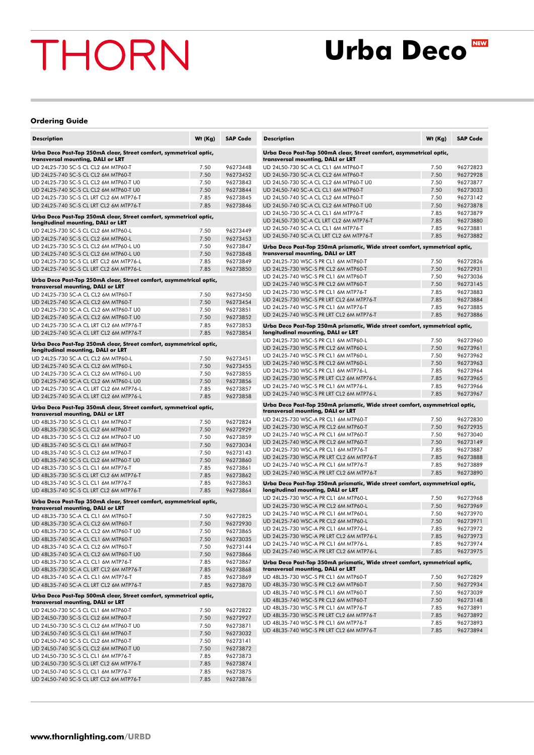### **Urba Deco**

#### **Ordering Guide**

| <b>Description</b>                                                                                            | Wt (Kg) | <b>SAP Code</b>      |
|---------------------------------------------------------------------------------------------------------------|---------|----------------------|
| Urba Deco Post-Top 250mA clear, Street comfort, symmetrical optic,<br>transversal mounting, DALI or LRT       |         |                      |
| UD 24L25-730 SC-S CL CL2 6M MTP60-T                                                                           | 7.50    | 96273448             |
| UD 24L25-740 SC-S CL CL2 6M MTP60-T                                                                           | 7.50    | 96273452             |
| UD 24L25-730 SC-S CL CL2 6M MTP60-T U0                                                                        | 7.50    | 96273843             |
| UD 24L25-740 SC-S CL CL2 6M MTP60-T U0                                                                        | 7.50    | 96273844             |
| UD 24L25-730 SC-S CL LRT CL2 6M MTP76-T                                                                       | 7.85    | 96273845             |
| UD 24L25-740 SC-S CL LRT CL2 6M MTP76-T                                                                       | 7.85    | 96273846             |
| Urba Deco Post-Top 250mA clear, Street comfort, symmetrical optic,<br>longitudinal mounting, DALI or LRT      |         |                      |
| UD 24L25-730 SC-S CL CL2 6M MTP60-L                                                                           | 7.50    | 96273449             |
| UD 24L25-740 SC-S CL CL2 6M MTP60-L                                                                           | 7.50    | 96273453             |
| UD 24L25-730 SC-S CL CL2 6M MTP60-L U0                                                                        | 7.50    | 96273847             |
| UD 24L25-740 SC-S CL CL2 6M MTP60-L U0                                                                        | 7.50    | 96273848             |
| UD 24L25-730 SC-S CL LRT CL2 6M MTP76-L<br>UD 24L25-740 SC-S CL LRT CL2 6M MTP76-L                            | 7.85    | 96273849<br>96273850 |
|                                                                                                               | 7.85    |                      |
| Urba Deco Post-Top 250mA clear, Street comfort, asymmetrical optic,<br>transversal mounting, DALI or LRT      |         |                      |
| UD 24L25-730 SC-A CL CL2 6M MTP60-T                                                                           | 7.50    | 96273450             |
| UD 24L25-740 SC-A CL CL2 6M MTP60-T                                                                           | 7.50    | 96273454             |
| UD 24L25-730 SC-A CL CL2 6M MTP60-T U0                                                                        | 7.50    | 96273851             |
| UD 24L25-740 SC-A CL CL2 6M MTP60-T U0                                                                        | 7.50    | 96273852             |
| UD 24L25-730 SC-A CL LRT CL2 6M MTP76-T                                                                       | 7.85    | 96273853             |
| UD 24L25-740 SC-A CL LRT CL2 6M MTP76-T                                                                       | 7.85    | 96273854             |
| Urba Deco Post-Top 250mA clear, Street comfort, asymmetrical optic,<br>longitudinal mounting, DALI or LRT     |         |                      |
| UD 24L25-730 SC-A CL CL2 6M MTP60-L                                                                           | 7.50    | 96273451             |
| UD 24L25-740 SC-A CL CL2 6M MTP60-L                                                                           | 7.50    | 96273455             |
| UD 24L25-730 SC-A CL CL2 6M MTP60-L U0                                                                        | 7.50    | 96273855             |
| UD 24L25-740 SC-A CL CL2 6M MTP60-L U0                                                                        | 7.50    | 96273856             |
| UD 24L25-730 SC-A CL LRT CL2 6M MTP76-L                                                                       | 7.85    | 96273857             |
| UD 24L25-740 SC-A CL LRT CL2 6M MTP76-L                                                                       | 7.85    | 96273858             |
| Urba Deco Post-Top 350mA clear, Street comfort, symmetrical optic,<br>transversal mounting, DALI or LRT       |         |                      |
| UD 48L35-730 SC-S CL CL1 6M MTP60-T                                                                           | 7.50    | 96272824             |
| UD 48L35-730 SC-S CL CL2 6M MTP60-T                                                                           | 7.50    | 96272929             |
| UD 48L35-730 SC-S CL CL2 6M MTP60-T U0                                                                        | 7.50    | 96273859             |
| UD 48L35-740 SC-S CL CL1 6M MTP60-T                                                                           | 7.50    | 96273034             |
| UD 48L35-740 SC-S CL CL2 6M MTP60-T                                                                           | 7.50    | 96273143             |
| UD 48L35-740 SC-S CL CL2 6M MTP60-T U0                                                                        | 7.50    | 96273860             |
| UD 48L35-730 SC-S CL CL1 6M MTP76-T                                                                           | 7.85    | 96273861             |
| UD 48L35-730 SC-S CL LRT CL2 6M MTP76-T                                                                       | 7.85    | 96273862             |
| UD 48L35-740 SC-S CL CL1 6M MTP76-T                                                                           | 7.85    | 96273863             |
| UD 48L35-740 SC-S CL LRT CL2 6M MTP76-T                                                                       | 7.85    | 96273864             |
| Urba Deco Post-Top 350mA clear, Street comfort, asymmetrical optic,<br>transversal mounting, DALI or LRT      |         |                      |
| UD 48L35-730 SC-A CL CL1 6M MTP60-T                                                                           | 7.50    | 96272825             |
| UD 48L35-730 SC-A CL CL2 6M MTP60-T                                                                           | 7.50    | 96272930             |
| UD 48L35-730 SC-A CL CL2 6M MTP60-T U0                                                                        | 7.50    | 96273865             |
| UD 48L35-740 SC-A CL CL1 6M MTP60-T                                                                           | 7.50    | 96273035             |
| UD 48L35-740 SC-A CL CL2 6M MTP60-T                                                                           | 7.50    | 96273144             |
| UD 48L35-740 SC-A CL CL2 6M MTP60-T U0                                                                        | 7.50    | 96273866             |
| UD 48L35-730 SC-A CL CL1 6M MTP76-T                                                                           | 7.85    | 96273867             |
| UD 48L35-730 SC-A CL LRT CL2 6M MTP76-T                                                                       | 7.85    | 96273868             |
| UD 48L35-740 SC-A CL CL1 6M MTP76-T                                                                           | 7.85    | 96273869             |
| UD 48L35-740 SC-A CL LRT CL2 6M MTP76-T<br>Urba Deco Post-Top 500mA clear, Street comfort, symmetrical optic, | 7.85    | 96273870             |
| transversal mounting, DALI or LRT                                                                             |         |                      |
| UD 24L50-730 SC-S CL CL1 6M MTP60-T                                                                           | 7.50    | 96272822             |
| UD 24L50-730 SC-S CL CL2 6M MTP60-T                                                                           | 7.50    | 96272927             |
| UD 24L50-730 SC-S CL CL2 6M MTP60-T U0                                                                        | 7.50    | 96273871             |
| UD 24L50-740 SC-S CL CL1 6M MTP60-T                                                                           | 7.50    | 96273032             |
| UD 24L50-740 SC-S CL CL2 6M MTP60-T                                                                           | 7.50    | 96273141             |
| UD 24L50-740 SC-S CL CL2 6M MTP60-T U0                                                                        | 7.50    | 96273872             |
| UD 24L50-730 SC-S CL CL1 6M MTP76-T                                                                           | 7.85    | 96273873             |
| UD 24L50-730 SC-S CL LRT CL2 6M MTP76-T                                                                       | 7.85    | 96273874             |
| UD 24L50-740 SC-S CL CL1 6M MTP76-T                                                                           | 7.85    | 96273875             |
| UD 24L50-740 SC-S CL LRT CL2 6M MTP76-T                                                                       | 7.85    | 96273876             |

| <b>Description</b>                                                                                                 | Wt (Kg)      | <b>SAP Code</b>      |
|--------------------------------------------------------------------------------------------------------------------|--------------|----------------------|
| Urba Deco Post-Top 500mA clear, Street comfort, asymmetrical optic,<br>transversal mounting, DALI or LRT           |              |                      |
| UD 24L50-730 SC-A CL CL1 6M MTP60-T                                                                                | 7.50         | 96272823             |
| UD 24L50-730 SC-A CL CL2 6M MTP60-T                                                                                | 7.50         | 96272928             |
| UD 24L50-730 SC-A CL CL2 6M MTP60-T U0                                                                             | 7.50         | 96273877             |
| UD 24L50-740 SC-A CL CL1 6M MTP60-T                                                                                | 7.50         | 96273033             |
| UD 24L50-740 SC-A CL CL2 6M MTP60-T                                                                                | 7.50         | 96273142             |
| UD 24L50-740 SC-A CL CL2 6M MTP60-T U0                                                                             | 7.50         | 96273878             |
| UD 24L50-730 SC-A CL CL1 6M MTP76-T                                                                                | 7.85         | 96273879             |
| UD 24L50-730 SC-A CL LRT CL2 6M MTP76-T                                                                            | 7.85         | 96273880             |
| UD 24L50-740 SC-A CL CL1 6M MTP76-T                                                                                | 7.85         | 96273881             |
| UD 24L50-740 SC-A CL LRT CL2 6M MTP76-T                                                                            | 7.85         | 96273882             |
| Urba Deco Post-Top 250mA prismatic, Wide street comfort, symmetrical optic,<br>transversal mounting, DALI or LRT   |              |                      |
| UD 24L25-730 WSC-S PR CL1 6M MTP60-T                                                                               | 7.50         | 96272826             |
| UD 24L25-730 WSC-S PR CL2 6M MTP60-T                                                                               | 7.50         | 96272931             |
| UD 24L25-740 WSC-S PR CL1 6M MTP60-T                                                                               | 7.50         | 96273036             |
| UD 24L25-740 WSC-S PR CL2 6M MTP60-T                                                                               | 7.50         | 96273145             |
| UD 24L25-730 WSC-S PR CL1 6M MTP76-T                                                                               | 7.85         | 96273883             |
| UD 24L25-730 WSC-S PR LRT CL2 6M MTP76-T<br>UD 24L25-740 WSC-S PR CL1 6M MTP76-T                                   | 7.85         | 96273884             |
| UD 24L25-740 WSC-S PR LRT CL2 6M MTP76-T                                                                           | 7.85<br>7.85 | 96273885<br>96273886 |
|                                                                                                                    |              |                      |
| Urba Deco Post-Top 250mA prismatic, Wide street comfort, symmetrical optic,<br>longitudinal mounting, DALI or LRT  |              |                      |
| UD 24L25-730 WSC-S PR CL1 6M MTP60-L                                                                               | 7.50         | 96273960             |
| UD 24L25-730 WSC-S PR CL2 6M MTP60-L                                                                               | 7.50         | 96273961             |
| UD 24L25-740 WSC-S PR CL1 6M MTP60-L                                                                               | 7.50         | 96273962             |
| UD 24L25-740 WSC-S PR CL2 6M MTP60-L                                                                               | 7.50         | 96273963             |
| UD 24L25-730 WSC-S PR CL1 6M MTP76-L                                                                               | 7.85         | 96273964             |
| UD 24L25-730 WSC-S PR LRT CL2 6M MTP76-L                                                                           | 7.85         | 96273965             |
| UD 24L25-740 WSC-S PR CL1 6M MTP76-L<br>UD 24L25-740 WSC-S PR LRT CL2 6M MTP76-L                                   | 7.85<br>7.85 | 96273966<br>96273967 |
|                                                                                                                    |              |                      |
| Urba Deco Post-Top 250mA prismatic, Wide street comfort, asymmetrical optic,<br>transversal mounting, DALI or LRT  |              |                      |
| UD 24L25-730 WSC-A PR CL1 6M MTP60-T                                                                               | 7.50         | 96272830             |
| UD 24L25-730 WSC-A PR CL2 6M MTP60-T                                                                               | 7.50         | 96272935             |
| UD 24L25-740 WSC-A PR CL1 6M MTP60-T                                                                               | 7.50         | 96273040             |
| UD 24L25-740 WSC-A PR CL2 6M MTP60-T                                                                               | 7.50         | 96273149             |
| UD 24L25-730 WSC-A PR CL1 6M MTP76-T                                                                               | 7.85         | 96273887             |
| UD 24L25-730 WSC-A PR LRT CL2 6M MTP76-T<br>UD 24L25-740 WSC-A PR CL1 6M MTP76-T                                   | 7.85<br>7.85 | 96273888<br>96273889 |
| UD 24L25-740 WSC-A PR LRT CL2 6M MTP76-T                                                                           | 7.85         | 96273890             |
|                                                                                                                    |              |                      |
| Urba Deco Post-Top 250mA prismatic, Wide street comfort, asymmetrical optic,<br>longitudinal mounting, DALI or LRT |              |                      |
| UD 24L25-730 WSC-A PR CL1 6M MTP60-L                                                                               | 7.50         | 96273968             |
| UD 24L25-730 WSC-A PR CL2 6M MTP60-L                                                                               | 7.50         | 96273969             |
| UD 24L25-740 WSC-A PR CL1 6M MTP60-L                                                                               | 7.50         | 96273970             |
| UD 24L25-740 WSC-A PR CL2 6M MTP60-L                                                                               | 7.50         | 96273971             |
| UD 24L25-730 WSC-A PR CL1 6M MTP76-L                                                                               | 7.85         | 96273972             |
| UD 24L25-730 WSC-A PR LRT CL2 6M MTP76-L                                                                           | 7.85         | 96273973             |
| UD 24L25-740 WSC-A PR CL1 6M MTP76-L                                                                               | 7.85         | 96273974             |
| UD 24L25-740 WSC-A PR LRT CL2 6M MTP76-L                                                                           | 7.85         | 96273975             |
| Urba Deco Post-Top 350mA prismatic, Wide street comfort, symmetrical optic,<br>transversal mounting, DALI or LRT   |              |                      |
| UD 48L35-730 WSC-S PR CL1 6M MTP60-T                                                                               | 7.50         | 96272829             |
| UD 48L35-730 WSC-S PR CL2 6M MTP60-T                                                                               | 7.50         | 96272934             |
| UD 48L35-740 WSC-S PR CL1 6M MTP60-T                                                                               | 7.50         | 96273039             |
| UD 48L35-740 WSC-S PR CL2 6M MTP60-T                                                                               | 7.50         | 96273148             |
| UD 48L35-730 WSC-S PR CL1 6M MTP76-T                                                                               | 7.85         | 96273891             |
| UD 48L35-730 WSC-S PR LRT CL2 6M MTP76-T                                                                           | 7.85         | 96273892             |
| UD 48L35-740 WSC-S PR CL1 6M MTP76-T                                                                               | 7.85         | 96273893             |
| UD 48L35-740 WSC-S PR LRT CL2 6M MTP76-T                                                                           | 7.85         | 96273894             |
|                                                                                                                    |              |                      |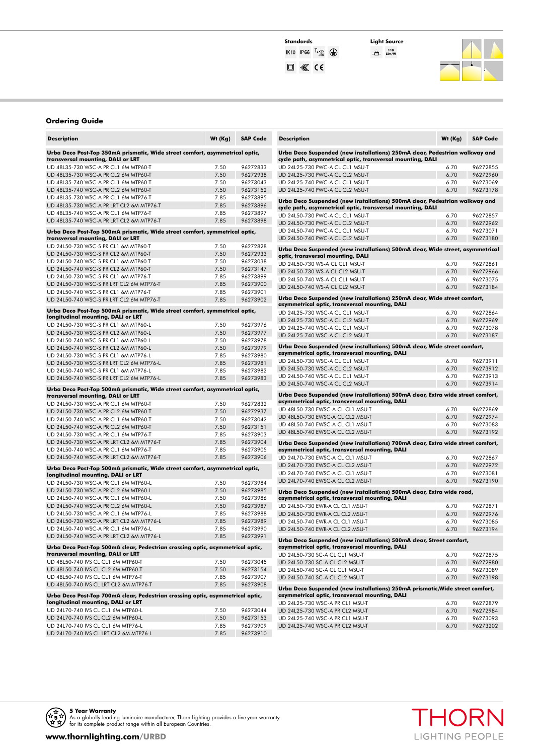**110 Llm/W**



#### **Ordering Guide**

| <b>Description</b>                                                                                                | Wt (Kg)      | <b>SAP Code</b>      |
|-------------------------------------------------------------------------------------------------------------------|--------------|----------------------|
| Urba Deco Post-Top 350mA prismatic, Wide street comfort, asymmetrical optic,<br>transversal mounting, DALI or LRT |              |                      |
| UD 48L35-730 WSC-A PR CL1 6M MTP60-T                                                                              | 7.50         | 96272833             |
| UD 48L35-730 WSC-A PR CL2 6M MTP60-T                                                                              | 7.50         | 96272938             |
| UD 48L35-740 WSC-A PR CL1 6M MTP60-T                                                                              | 7.50         | 96273043             |
| UD 48L35-740 WSC-A PR CL2 6M MTP60-T                                                                              | 7.50         | 96273152             |
| UD 48L35-730 WSC-A PR CL1 6M MTP76-T<br>UD 48L35-730 WSC-A PR LRT CL2 6M MTP76-T                                  | 7.85         | 96273895<br>96273896 |
| UD 48L35-740 WSC-A PR CL1 6M MTP76-T                                                                              | 7.85<br>7.85 | 96273897             |
| UD 48L35-740 WSC-A PR LRT CL2 6M MTP76-T                                                                          | 7.85         | 96273898             |
| Urba Deco Post-Top 500mA prismatic, Wide street comfort, symmetrical optic,<br>transversal mounting, DALI or LRT  |              |                      |
| UD 24L50-730 WSC-S PR CL1 6M MTP60-T                                                                              | 7.50         | 96272828             |
| UD 24L50-730 WSC-S PR CL2 6M MTP60-T                                                                              | 7.50         | 96272933             |
| UD 24L50-740 WSC-S PR CL1 6M MTP60-T                                                                              | 7.50         | 96273038             |
| UD 24L50-740 WSC-S PR CL2 6M MTP60-T                                                                              | 7.50         | 96273147             |
| UD 24L50-730 WSC-S PR CL1 6M MTP76-T                                                                              | 7.85         | 96273899             |
| UD 24L50-730 WSC-S PR LRT CL2 6M MTP76-T                                                                          | 7.85         | 96273900             |
| UD 24L50-740 WSC-S PR CL1 6M MTP76-T                                                                              | 7.85         | 96273901             |
| UD 24L50-740 WSC-S PR LRT CL2 6M MTP76-T                                                                          | 7.85         | 96273902             |
| Urba Deco Post-Top 500mA prismatic, Wide street comfort, symmetrical optic,<br>longitudinal mounting, DALI or LRT |              |                      |
| UD 24L50-730 WSC-S PR CL1 6M MTP60-L                                                                              | 7.50         | 96273976             |
| UD 24L50-730 WSC-S PR CL2 6M MTP60-L                                                                              | 7.50         | 96273977             |
| UD 24L50-740 WSC-S PR CL1 6M MTP60-L                                                                              | 7.50         | 96273978             |
| UD 24L50-740 WSC-S PR CL2 6M MTP60-L                                                                              | 7.50         | 96273979             |
| UD 24L50-730 WSC-S PR CL1 6M MTP76-L                                                                              | 7.85         | 96273980             |
| UD 24L50-730 WSC-S PR LRT CL2 6M MTP76-L                                                                          | 7.85         | 96273981             |
| UD 24L50-740 WSC-S PR CL1 6M MTP76-L                                                                              | 7.85         | 96273982             |
| UD 24L50-740 WSC-S PR LRT CL2 6M MTP76-L                                                                          | 7.85         | 96273983             |
| Urba Deco Post-Top 500mA prismatic, Wide street comfort, asymmetrical optic,                                      |              |                      |
| transversal mounting, DALI or LRT                                                                                 |              |                      |
| UD 24L50-730 WSC-A PR CL1 6M MTP60-T                                                                              | 7.50         | 96272832             |
| UD 24L50-730 WSC-A PR CL2 6M MTP60-T<br>UD 24L50-740 WSC-A PR CL1 6M MTP60-T                                      | 7.50<br>7.50 | 96272937<br>96273042 |
| UD 24L50-740 WSC-A PR CL2 6M MTP60-T                                                                              | 7.50         | 96273151             |
| UD 24L50-730 WSC-A PR CL1 6M MTP76-T                                                                              | 7.85         | 96273903             |
| UD 24L50-730 WSC-A PR LRT CL2 6M MTP76-T                                                                          | 7.85         | 96273904             |
| UD 24L50-740 WSC-A PR CL1 6M MTP76-T                                                                              | 7.85         | 96273905             |
| UD 24L50-740 WSC-A PR LRT CL2 6M MTP76-T                                                                          | 7.85         | 96273906             |
| Urba Deco Post-Top 500mA prismatic, Wide street comfort, asymmetrical optic,                                      |              |                      |
| longitudinal mounting, DALI or LRT                                                                                | 7.50         |                      |
| UD 24L50-730 WSC-A PR CL1 6M MTP60-L<br>UD 24L50-730 WSC-A PR CL2 6M MTP60-L                                      | 7.50         | 96273984<br>96273985 |
| UD 24L50-740 WSC-A PR CL1 6M MTP60-L                                                                              | 7.50         | 96273986             |
| UD 24L50-740 WSC-A PR CL2 6M MTP60-L                                                                              | 7.50         | 96273987             |
| UD 24L50-730 WSC-A PR CL1 6M MTP76-L                                                                              | 7.85         | 96273988             |
| UD 24L50-730 WSC-A PR LRT CL2 6M MTP76-L                                                                          | 7.85         | 96273989             |
| UD 24L50-740 WSC-A PR CL1 6M MTP76-L                                                                              | 7.85         | 96273990             |
| UD 24L50-740 WSC-A PR LRT CL2 6M MTP76-L                                                                          | 7.85         | 96273991             |
| Urba Deco Post-Top 500mA clear, Pedestrian crossing optic, asymmetrical optic,                                    |              |                      |
| transversal mounting, DALI or LRT                                                                                 |              |                      |
| UD 48L50-740 IVS CL CL1 6M MTP60-T<br>UD 48L50-740 IVS CL CL2 6M MTP60-T                                          | 7.50         | 96273045             |
| UD 48L50-740 IVS CL CL1 6M MTP76-T                                                                                | 7.50         | 96273154<br>96273907 |
| UD 48L50-740 IVS CL LRT CL2 6M MTP76-T                                                                            | 7.85<br>7.85 | 96273908             |
| Urba Deco Post-Top 700mA clear, Pedestrian crossing optic, asymmetrical optic,                                    |              |                      |
| longitudinal mounting, DALI or LRT                                                                                |              |                      |
| UD 24L70-740 IVS CL CL1 6M MTP60-L                                                                                | 7.50         | 96273044             |
| UD 24L70-740 IVS CL CL2 6M MTP60-L                                                                                | 7.50         | 96273153             |
| UD 24L70-740 IVS CL CL1 6M MTP76-L                                                                                | 7.85         | 96273909             |
| UD 24L70-740 IVS CL LRT CL2 6M MTP76-L                                                                            | 7.85         | 96273910             |
|                                                                                                                   |              |                      |

| <b>Description</b>                                                              | Wt (Kg) | <b>SAP Code</b> |
|---------------------------------------------------------------------------------|---------|-----------------|
| Urba Deco Suspended (new installations) 250mA clear, Pedestrian walkway and     |         |                 |
| cycle path, asymmetrical optic, transversal mounting, DALI                      |         |                 |
| UD 24L25-730 PWC-A CL CL1 MSU-T                                                 | 6.70    | 96272855        |
| UD 24L25-730 PWC-A CL CL2 MSU-T                                                 | 6.70    | 96272960        |
| UD 24L25-740 PWC-A CL CL1 MSU-T                                                 | 6.70    | 96273069        |
| UD 24L25-740 PWC-A CL CL2 MSU-T                                                 | 6.70    | 96273178        |
| Urba Deco Suspended (new installations) 500mA clear, Pedestrian walkway and     |         |                 |
| cycle path, asymmetrical optic, transversal mounting, DALI                      |         |                 |
| UD 24L50-730 PWC-A CL CL1 MSU-T                                                 | 6.70    | 96272857        |
| UD 24L50-730 PWC-A CL CL2 MSU-T                                                 | 6.70    | 96272962        |
| UD 24L50-740 PWC-A CL CL1 MSU-T                                                 | 6.70    | 96273071        |
| UD 24L50-740 PWC-A CL CL2 MSU-T                                                 | 6.70    | 96273180        |
| Urba Deco Suspended (new installations) 500mA clear, Wide street, asymmetrical  |         |                 |
| optic, transversal mounting, DALI                                               |         |                 |
| UD 24L50-730 WS-A CL CL1 MSU-T                                                  | 6.70    | 96272861        |
| UD 24L50-730 WS-A CL CL2 MSU-T                                                  | 6.70    | 96272966        |
| UD 24L50-740 WS-A CL CL1 MSU-T                                                  | 6.70    | 96273075        |
| UD 24L50-740 WS-A CL CL2 MSU-T                                                  | 6.70    | 96273184        |
| Urba Deco Suspended (new installations) 250mA clear, Wide street comfort,       |         |                 |
| asymmetrical optic, transversal mounting, DALI                                  |         |                 |
| UD 24L25-730 WSC-A CL CL1 MSU-T                                                 | 6.70    | 96272864        |
| UD 24L25-730 WSC-A CL CL2 MSU-T                                                 | 6.70    | 96272969        |
| UD 24L25-740 WSC-A CL CL1 MSU-T                                                 | 6.70    | 96273078        |
| UD 24L25-740 WSC-A CL CL2 MSU-T                                                 | 6.70    | 96273187        |
| Urba Deco Suspended (new installations) 500mA clear, Wide street comfort,       |         |                 |
| asymmetrical optic, transversal mounting, DALI                                  |         |                 |
| UD 24L50-730 WSC-A CL CL1 MSU-T                                                 | 6.70    | 96273911        |
| UD 24L50-730 WSC-A CL CL2 MSU-T                                                 | 6.70    | 96273912        |
| UD 24L50-740 WSC-A CL CL1 MSU-T                                                 | 6.70    | 96273913        |
| UD 24L50-740 WSC-A CL CL2 MSU-T                                                 | 6.70    | 96273914        |
| Urba Deco Suspended (new installations) 500mA clear, Extra wide street comfort, |         |                 |
| asymmetrical optic, transversal mounting, DALI                                  |         |                 |
| UD 48L50-730 EWSC-A CL CL1 MSU-T                                                | 6.70    | 96272869        |
| UD 48L50-730 EWSC-A CL CL2 MSU-T                                                | 6.70    | 96272974        |
| UD 48L50-740 EWSC-A CL CL1 MSU-T                                                | 6.70    | 96273083        |
| UD 48L50-740 EWSC-A CL CL2 MSU-T                                                | 6.70    | 96273192        |
| Urba Deco Suspended (new installations) 700mA clear, Extra wide street comfort, |         |                 |
| asymmetrical optic, transversal mounting, DALI                                  |         |                 |
| UD 24L70-730 EWSC-A CL CL1 MSU-T                                                | 6.70    | 96272867        |
| UD 24L70-730 EWSC-A CL CL2 MSU-T                                                | 6.70    | 96272972        |
| UD 24L70-740 EWSC-A CL CL1 MSU-T                                                | 6.70    | 96273081        |
| UD 24L70-740 EWSC-A CL CL2 MSU-T                                                | 6.70    | 96273190        |
| Urba Deco Suspended (new installations) 500mA clear, Extra wide road,           |         |                 |
| asymmetrical optic, transversal mounting, DALI                                  |         |                 |
| UD 24L50-730 EWR-A CL CL1 MSU-T                                                 | 6.70    | 96272871        |
| UD 24L50-730 EWR-A CL CL2 MSU-T                                                 | 6.70    | 96272976        |
| UD 24L50-740 EWR-A CL CL1 MSU-T                                                 | 6.70    | 96273085        |
| UD 24L50-740 EWR-A CL CL2 MSU-I                                                 | 6.70    | 96273194        |
| Urba Deco Suspended (new installations) 500mA clear, Street comfort,            |         |                 |
| asymmetrical optic, transversal mounting, DALI                                  |         |                 |
| UD 24L50-730 SC-A CL CL1 MSU-T                                                  | 6.70    | 96272875        |
| UD 24L50-730 SC-A CL CL2 MSU-T                                                  | 6.70    | 96272980        |
| UD 24L50-740 SC-A CL CL1 MSU-T                                                  | 6.70    | 96273089        |
| UD 24L50-740 SC-A CL CL2 MSU-T                                                  | 6.70    | 96273198        |
| Urba Deco Suspended (new installations) 250mA prismatic, Wide street comfort,   |         |                 |
| asymmetrical optic, transversal mounting, DALI                                  |         |                 |
| UD 24L25-730 WSC-A PR CL1 MSU-T                                                 | 6.70    | 96272879        |
| UD 24L25-730 WSC-A PR CL2 MSU-T                                                 | 6.70    | 96272984        |
| UD 24L25-740 WSC-A PR CL1 MSU-T                                                 | 6.70    | 96273093        |
| UD 24L25-740 WSC-A PR CL2 MSU-T                                                 | 6.70    | 96273202        |

THORN

LIGHTING PEOPLE



**5 Year Warranty**<br>As a globally leading luminaire manufacturer, Thorn Lighting provides a five-year warranty<br>for its complete product range within all European Countries.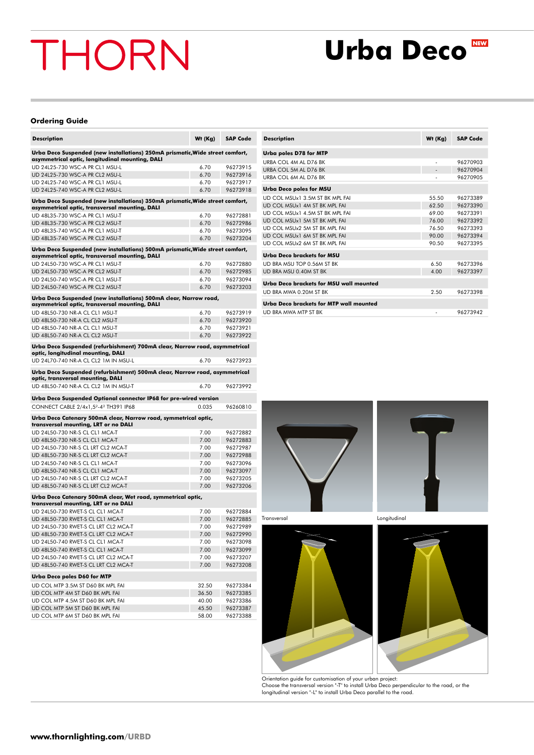### **Urba Deco**

#### **Ordering Guide**

| <b>Description</b>                                                                                                               | Wt (Kg) | <b>SAP Code</b> |
|----------------------------------------------------------------------------------------------------------------------------------|---------|-----------------|
| Urba Deco Suspended (new installations) 250mA prismatic, Wide street comfort,<br>asymmetrical optic, longitudinal mounting, DALI |         |                 |
| UD 24L25-730 WSC-A PR CL1 MSU-L                                                                                                  | 6.70    | 96273915        |
| UD 24L25-730 WSC-A PR CL2 MSU-L                                                                                                  | 6.70    | 96273916        |
| UD 24L25-740 WSC-A PR CL1 MSU-L                                                                                                  | 6.70    | 96273917        |
| UD 24L25-740 WSC-A PR CL2 MSU-L                                                                                                  | 6.70    | 96273918        |
| Urba Deco Suspended (new installations) 350mA prismatic, Wide street comfort,<br>asymmetrical optic, transversal mounting, DALI  |         |                 |
| UD 48L35-730 WSC-A PR CL1 MSU-T                                                                                                  | 6.70    | 96272881        |
| UD 48L35-730 WSC-A PR CL2 MSU-T                                                                                                  | 6.70    | 96272986        |
| UD 48L35-740 WSC-A PR CL1 MSU-T                                                                                                  | 6.70    | 96273095        |
| UD 48L35-740 WSC-A PR CL2 MSU-T                                                                                                  | 6.70    | 96273204        |
| Urba Deco Suspended (new installations) 500mA prismatic, Wide street comfort,<br>asymmetrical optic, transversal mounting, DALI  |         |                 |
| UD 24L50-730 WSC-A PR CL1 MSU-T                                                                                                  | 6.70    | 96272880        |
| UD 24L50-730 WSC-A PR CL2 MSU-T                                                                                                  | 6.70    | 96272985        |
| UD 24L50-740 WSC-A PR CL1 MSU-T                                                                                                  | 6.70    | 96273094        |
| UD 24L50-740 WSC-A PR CL2 MSU-T                                                                                                  | 6.70    | 96273203        |
| Urba Deco Suspended (new installations) 500mA clear, Narrow road,<br>asymmetrical optic, transversal mounting, DALI              |         |                 |
| UD 48L50-730 NR-A CL CL1 MSU-T                                                                                                   | 6.70    | 96273919        |
| UD 48L50-730 NR-A CL CL2 MSU-T                                                                                                   | 6.70    | 96273920        |
| UD 48L50-740 NR-A CL CL1 MSU-T                                                                                                   | 6.70    | 96273921        |
| UD 48L50-740 NR-A CL CL2 MSU-T                                                                                                   | 6.70    | 96273922        |
| Urba Deco Suspended (refurbishment) 700mA clear, Narrow road, asymmetrical<br>optic, longitudinal mounting, DALI                 |         |                 |
| UD 24L70-740 NR-A CL CL2 1M IN MSU-L                                                                                             | 6.70    | 96273923        |
|                                                                                                                                  |         |                 |
| Urba Deco Suspended (refurbishment) 500mA clear, Narrow road, asymmetrical<br>optic, transversal mounting, DALI                  | 6.70    |                 |
| UD 48L50-740 NR-A CL CL2 1M IN MSU-T                                                                                             |         | 96273992        |
| Urba Deco Suspended Optional connector IP68 for pre-wired version                                                                |         |                 |
| CONNECT CABLE 2/4x1,52-42 TH391 IP68                                                                                             | 0.035   | 96260810        |
| Urba Deco Catenary 500mA clear, Narrow road, symmetrical optic,<br>transversal mounting, LRT or no DALI                          |         |                 |
| UD 24L50-730 NR-S CL CL1 MCA-T                                                                                                   | 7.00    | 96272882        |
| UD 48L50-730 NR-S CL CL1 MCA-T                                                                                                   | 7.00    | 96272883        |
| UD 24L50-730 NR-S CL LRT CL2 MCA-T                                                                                               | 7.00    | 96272987        |
| UD 48L50-730 NR-S CL LRT CL2 MCA-T                                                                                               | 7.00    | 96272988        |
| UD 24L50-740 NR-S CL CL1 MCA-T                                                                                                   | 7.00    | 96273096        |
| UD 48L50-740 NR-S CL CL1 MCA-T                                                                                                   | 7.00    | 96273097        |
| UD 24L50-740 NR-S CL LRT CL2 MCA-T                                                                                               | 7.00    | 96273205        |
| UD 48L50-740 NR-S CL LRT CL2 MCA-T                                                                                               | 7.00    | 96273206        |
| Urba Deco Catenary 500mA clear, Wet road, symmetrical optic,<br>transversal mounting, LRT or no DALI                             |         |                 |
| UD 24L50-730 RWET-S CL CL1 MCA-T                                                                                                 | 7.00    | 96272884        |
| UD 48L50-730 RWET-S CL CL1 MCA-T                                                                                                 | 7.00    | 96272885        |
| UD 24L50-730 RWET-S CL LRT CL2 MCA-T                                                                                             | 7.00    | 96272989        |
| UD 48L50-730 RWET-S CL LRT CL2 MCA-T                                                                                             | 7.00    | 96272990        |
| UD 24L50-740 RWET-S CL CL1 MCA-T                                                                                                 | 7.00    | 96273098        |
| UD 48L50-740 RWET-S CL CL1 MCA-T                                                                                                 | 7.00    | 96273099        |
| UD 24L50-740 RWET-S CL LRT CL2 MCA-T                                                                                             | 7.00    | 96273207        |
| UD 48L50-740 RWET-S CL LRT CL2 MCA-T                                                                                             | 7.00    | 96273208        |
| <b>Urba Deco poles D60 for MTP</b>                                                                                               |         |                 |
| UD COL MTP 3.5M ST D60 BK MPL FAI                                                                                                | 32.50   | 96273384        |
| UD COL MTP 4M ST D60 BK MPL FAI                                                                                                  | 36.50   | 96273385        |
| UD COL MTP 4.5M ST D60 BK MPL FAI                                                                                                | 40.00   | 96273386        |
| UD COL MTP 5M ST D60 BK MPL FAI                                                                                                  | 45.50   | 96273387        |
| UD COL MTP 6M ST D60 BK MPL FAI                                                                                                  | 58.00   | 96273388        |

| <b>Urba poles D78 for MTP</b><br>LIRBA COL 4M AL D76 BK<br>96270903<br>URBA COL 5M AL D76 BK<br>96270904<br>URBA COL 6M AL D76 BK<br>96270905<br><b>Urba Deco poles for MSU</b><br>UD COL MSUx1 3.5M ST BK MPL FAI<br>55.50<br>96273389<br>UD COL MSUx1 4M ST BK MPL FAI<br>62.50<br>96273390<br>96273391<br>UD COL MSUx1 4.5M ST BK MPL FAI<br>69.00<br>UD COL MSUx1 5M ST BK MPL FAI<br>96273392<br>76.00<br>UD COL MSUx2 5M ST BK MPL FAI<br>76.50<br>96273393<br>96273394<br>UD COL MSUx1 6M ST BK MPL FAI<br>90.00<br>UD COL MSUx2 6M ST BK MPL FAI<br>96273395<br>90.50<br><b>Urba Deco brackets for MSU</b><br>UD BRA MSU TOP 0 56M ST BK<br>6.50<br>96273396<br>96273397<br>UD BRA MSU 0.40M ST BK<br>4.00<br>Urba Deco brackets for MSU wall mounted<br>UD BRA MWA 0.20M ST BK<br>2.50<br>96273398<br>Urba Deco brackets for MTP wall mounted<br><b>UD BRA MWA MTP ST BK</b><br>96273942 | <b>Description</b> | Wt (Kg) | <b>SAP Code</b> |
|---------------------------------------------------------------------------------------------------------------------------------------------------------------------------------------------------------------------------------------------------------------------------------------------------------------------------------------------------------------------------------------------------------------------------------------------------------------------------------------------------------------------------------------------------------------------------------------------------------------------------------------------------------------------------------------------------------------------------------------------------------------------------------------------------------------------------------------------------------------------------------------------------|--------------------|---------|-----------------|
|                                                                                                                                                                                                                                                                                                                                                                                                                                                                                                                                                                                                                                                                                                                                                                                                                                                                                                   |                    |         |                 |
|                                                                                                                                                                                                                                                                                                                                                                                                                                                                                                                                                                                                                                                                                                                                                                                                                                                                                                   |                    |         |                 |
|                                                                                                                                                                                                                                                                                                                                                                                                                                                                                                                                                                                                                                                                                                                                                                                                                                                                                                   |                    |         |                 |
|                                                                                                                                                                                                                                                                                                                                                                                                                                                                                                                                                                                                                                                                                                                                                                                                                                                                                                   |                    |         |                 |
|                                                                                                                                                                                                                                                                                                                                                                                                                                                                                                                                                                                                                                                                                                                                                                                                                                                                                                   |                    |         |                 |
|                                                                                                                                                                                                                                                                                                                                                                                                                                                                                                                                                                                                                                                                                                                                                                                                                                                                                                   |                    |         |                 |
|                                                                                                                                                                                                                                                                                                                                                                                                                                                                                                                                                                                                                                                                                                                                                                                                                                                                                                   |                    |         |                 |
|                                                                                                                                                                                                                                                                                                                                                                                                                                                                                                                                                                                                                                                                                                                                                                                                                                                                                                   |                    |         |                 |
|                                                                                                                                                                                                                                                                                                                                                                                                                                                                                                                                                                                                                                                                                                                                                                                                                                                                                                   |                    |         |                 |
|                                                                                                                                                                                                                                                                                                                                                                                                                                                                                                                                                                                                                                                                                                                                                                                                                                                                                                   |                    |         |                 |
|                                                                                                                                                                                                                                                                                                                                                                                                                                                                                                                                                                                                                                                                                                                                                                                                                                                                                                   |                    |         |                 |
|                                                                                                                                                                                                                                                                                                                                                                                                                                                                                                                                                                                                                                                                                                                                                                                                                                                                                                   |                    |         |                 |
|                                                                                                                                                                                                                                                                                                                                                                                                                                                                                                                                                                                                                                                                                                                                                                                                                                                                                                   |                    |         |                 |
|                                                                                                                                                                                                                                                                                                                                                                                                                                                                                                                                                                                                                                                                                                                                                                                                                                                                                                   |                    |         |                 |
|                                                                                                                                                                                                                                                                                                                                                                                                                                                                                                                                                                                                                                                                                                                                                                                                                                                                                                   |                    |         |                 |
|                                                                                                                                                                                                                                                                                                                                                                                                                                                                                                                                                                                                                                                                                                                                                                                                                                                                                                   |                    |         |                 |
|                                                                                                                                                                                                                                                                                                                                                                                                                                                                                                                                                                                                                                                                                                                                                                                                                                                                                                   |                    |         |                 |
|                                                                                                                                                                                                                                                                                                                                                                                                                                                                                                                                                                                                                                                                                                                                                                                                                                                                                                   |                    |         |                 |
|                                                                                                                                                                                                                                                                                                                                                                                                                                                                                                                                                                                                                                                                                                                                                                                                                                                                                                   |                    |         |                 |





Transversal





Orientation guide for customisation of your urban project:<br>Choose the transversal version "-T" to install Urba Deco perpendicular to the road, or the<br>longitudinal version "-L" to install Urba Deco parallel to the road.